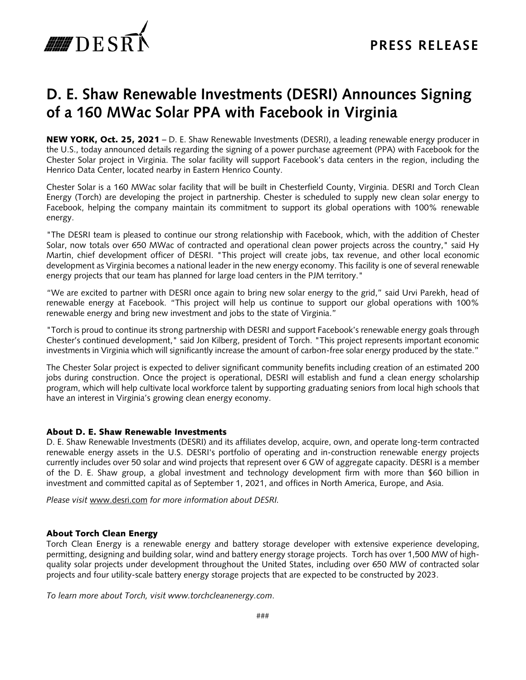

## **D. E. Shaw Renewable Investments (DESRI) Announces Signing of a 160 MWac Solar PPA with Facebook in Virginia**

NEW YORK, Oct. 25, 2021 – D. E. Shaw Renewable Investments (DESRI), a leading renewable energy producer in the U.S., today announced details regarding the signing of a power purchase agreement (PPA) with Facebook for the Chester Solar project in Virginia. The solar facility will support Facebook's data centers in the region, including the Henrico Data Center, located nearby in Eastern Henrico County.

Chester Solar is a 160 MWac solar facility that will be built in Chesterfield County, Virginia. DESRI and Torch Clean Energy (Torch) are developing the project in partnership. Chester is scheduled to supply new clean solar energy to Facebook, helping the company maintain its commitment to support its global operations with 100% renewable energy.

"The DESRI team is pleased to continue our strong relationship with Facebook, which, with the addition of Chester Solar, now totals over 650 MWac of contracted and operational clean power projects across the country," said Hy Martin, chief development officer of DESRI. "This project will create jobs, tax revenue, and other local economic development as Virginia becomes a national leader in the new energy economy. This facility is one of several renewable energy projects that our team has planned for large load centers in the PJM territory."

"We are excited to partner with DESRI once again to bring new solar energy to the grid," said Urvi Parekh, head of renewable energy at Facebook. "This project will help us continue to support our global operations with 100% renewable energy and bring new investment and jobs to the state of Virginia."

"Torch is proud to continue its strong partnership with DESRI and support Facebook's renewable energy goals through Chester's continued development," said Jon Kilberg, president of Torch. "This project represents important economic investments in Virginia which will significantly increase the amount of carbon-free solar energy produced by the state."

The Chester Solar project is expected to deliver significant community benefits including creation of an estimated 200 jobs during construction. Once the project is operational, DESRI will establish and fund a clean energy scholarship program, which will help cultivate local workforce talent by supporting graduating seniors from local high schools that have an interest in Virginia's growing clean energy economy.

## About D. E. Shaw Renewable Investments

D. E. Shaw Renewable Investments (DESRI) and its affiliates develop, acquire, own, and operate long-term contracted renewable energy assets in the U.S. DESRI's portfolio of operating and in-construction renewable energy projects currently includes over 50 solar and wind projects that represent over 6 GW of aggregate capacity. DESRI is a member of the D. E. Shaw group, a global investment and technology development firm with more than \$60 billion in investment and committed capital as of September 1, 2021, and offices in North America, Europe, and Asia.

*Please visit* www.desri.com *for more information about DESRI.* 

## About Torch Clean Energy

Torch Clean Energy is a renewable energy and battery storage developer with extensive experience developing, permitting, designing and building solar, wind and battery energy storage projects. Torch has over 1,500 MW of highquality solar projects under development throughout the United States, including over 650 MW of contracted solar projects and four utility-scale battery energy storage projects that are expected to be constructed by 2023.

*To learn more about Torch, visit www.torchcleanenergy.com*.